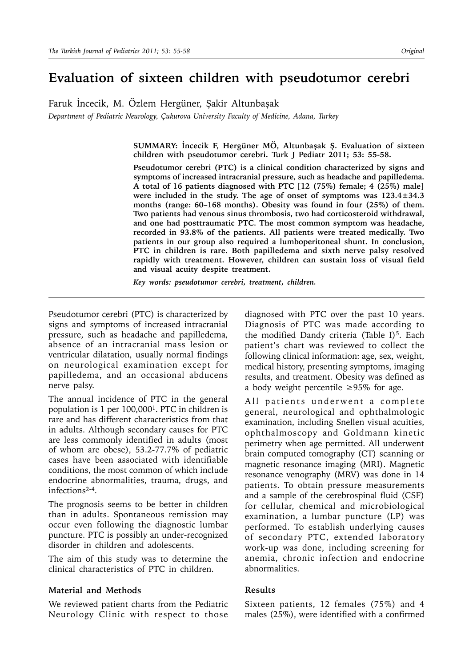# **Evaluation of sixteen children with pseudotumor cerebri**

Faruk İncecik, M. Özlem Hergüner, Şakir Altunbaşak *Department of Pediatric Neurology, Çukurova University Faculty of Medicine, Adana, Turkey*

> **SUMMARY: İncecik F, Hergüner MÖ, Altunbaşak Ş. Evaluation of sixteen children with pseudotumor cerebri. Turk J Pediatr 2011; 53: 55-58.**

> **Pseudotumor cerebri (PTC) is a clinical condition characterized by signs and symptoms of increased intracranial pressure, such as headache and papilledema. A total of 16 patients diagnosed with PTC [12 (75%) female; 4 (25%) male] were included in the study. The age of onset of symptoms was 123.4±34.3 months (range: 60–168 months). Obesity was found in four (25%) of them. Two patients had venous sinus thrombosis, two had corticosteroid withdrawal, and one had posttraumatic PTC. The most common symptom was headache, recorded in 93.8% of the patients. All patients were treated medically. Two patients in our group also required a lumboperitoneal shunt. In conclusion, PTC in children is rare. Both papilledema and sixth nerve palsy resolved rapidly with treatment. However, children can sustain loss of visual field and visual acuity despite treatment.**

*Key words: pseudotumor cerebri, treatment, children.*

Pseudotumor cerebri (PTC) is characterized by signs and symptoms of increased intracranial pressure, such as headache and papilledema, absence of an intracranial mass lesion or ventricular dilatation, usually normal findings on neurological examination except for papilledema, and an occasional abducens nerve palsy.

The annual incidence of PTC in the general population is 1 per 100,0001. PTC in children is rare and has different characteristics from that in adults. Although secondary causes for PTC are less commonly identified in adults (most of whom are obese), 53.2-77.7% of pediatric cases have been associated with identifiable conditions, the most common of which include endocrine abnormalities, trauma, drugs, and infections2-4.

The prognosis seems to be better in children than in adults. Spontaneous remission may occur even following the diagnostic lumbar puncture. PTC is possibly an under-recognized disorder in children and adolescents.

The aim of this study was to determine the clinical characteristics of PTC in children.

## **Material and Methods**

We reviewed patient charts from the Pediatric Neurology Clinic with respect to those

diagnosed with PTC over the past 10 years. Diagnosis of PTC was made according to the modified Dandy criteria (Table I)<sup>5</sup>. Each patient's chart was reviewed to collect the following clinical information: age, sex, weight, medical history, presenting symptoms, imaging results, and treatment. Obesity was defined as a body weight percentile ≥95% for age.

All patients underwent a complete general, neurological and ophthalmologic examination, including Snellen visual acuities, ophthalmoscopy and Goldmann kinetic perimetry when age permitted. All underwent brain computed tomography (CT) scanning or magnetic resonance imaging (MRI). Magnetic resonance venography (MRV) was done in 14 patients. To obtain pressure measurements and a sample of the cerebrospinal fluid (CSF) for cellular, chemical and microbiological examination, a lumbar puncture (LP) was performed. To establish underlying causes of secondary PTC, extended laboratory work-up was done, including screening for anemia, chronic infection and endocrine abnormalities.

### **Results**

Sixteen patients, 12 females (75%) and 4 males (25%), were identified with a confirmed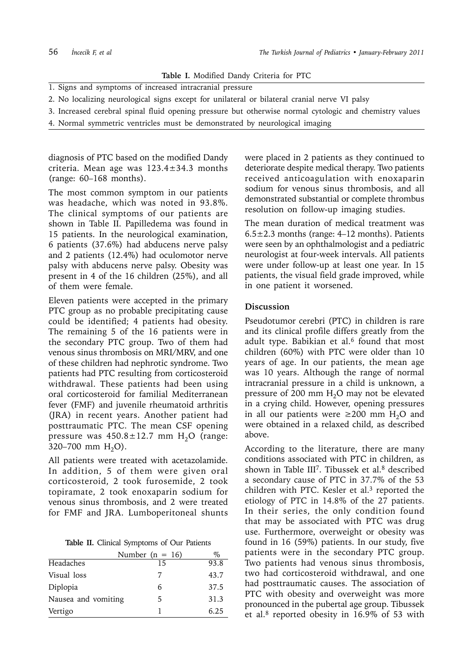**Table I.** Modified Dandy Criteria for PTC

- 1. Signs and symptoms of increased intracranial pressure
- 2. No localizing neurological signs except for unilateral or bilateral cranial nerve VI palsy
- 3. Increased cerebral spinal fluid opening pressure but otherwise normal cytologic and chemistry values
- 4. Normal symmetric ventricles must be demonstrated by neurological imaging

diagnosis of PTC based on the modified Dandy criteria. Mean age was  $123.4 \pm 34.3$  months (range: 60–168 months).

The most common symptom in our patients was headache, which was noted in 93.8%. The clinical symptoms of our patients are shown in Table II. Papilledema was found in 15 patients. In the neurological examination, 6 patients (37.6%) had abducens nerve palsy and 2 patients (12.4%) had oculomotor nerve palsy with abducens nerve palsy. Obesity was present in 4 of the 16 children (25%), and all of them were female.

Eleven patients were accepted in the primary PTC group as no probable precipitating cause could be identified; 4 patients had obesity. The remaining 5 of the 16 patients were in the secondary PTC group. Two of them had venous sinus thrombosis on MRI/MRV, and one of these children had nephrotic syndrome. Two patients had PTC resulting from corticosteroid withdrawal. These patients had been using oral corticosteroid for familial Mediterranean fever (FMF) and juvenile rheumatoid arthritis (JRA) in recent years. Another patient had posttraumatic PTC. The mean CSF opening pressure was  $450.8 \pm 12.7$  mm  $H<sub>2</sub>O$  (range: 320–700 mm  $H_2O$ ).

All patients were treated with acetazolamide. In addition, 5 of them were given oral corticosteroid, 2 took furosemide, 2 took topiramate, 2 took enoxaparin sodium for venous sinus thrombosis, and 2 were treated for FMF and JRA. Lumboperitoneal shunts

**Table II.** Clinical Symptoms of Our Patients

|                     | Number ( $n = 16$ ) | $\%$ |
|---------------------|---------------------|------|
| Headaches           | 15                  | 93.8 |
| Visual loss         | 7                   | 43.7 |
| Diplopia            | 6                   | 37.5 |
| Nausea and vomiting | 5                   | 31.3 |
| Vertigo             |                     | 6.25 |

were placed in 2 patients as they continued to deteriorate despite medical therapy. Two patients received anticoagulation with enoxaparin sodium for venous sinus thrombosis, and all demonstrated substantial or complete thrombus resolution on follow-up imaging studies.

The mean duration of medical treatment was  $6.5\pm2.3$  months (range: 4–12 months). Patients were seen by an ophthalmologist and a pediatric neurologist at four-week intervals. All patients were under follow-up at least one year. In 15 patients, the visual field grade improved, while in one patient it worsened.

### **Discussion**

Pseudotumor cerebri (PTC) in children is rare and its clinical profile differs greatly from the adult type. Babikian et al. $6$  found that most children (60%) with PTC were older than 10 years of age. In our patients, the mean age was 10 years. Although the range of normal intracranial pressure in a child is unknown, a pressure of 200 mm  $H<sub>2</sub>O$  may not be elevated in a crying child. However, opening pressures in all our patients were ≥200 mm  $H_2O$  and were obtained in a relaxed child, as described above.

According to the literature, there are many conditions associated with PTC in children, as shown in Table III<sup>7</sup>. Tibussek et al.<sup>8</sup> described a secondary cause of PTC in 37.7% of the 53 children with PTC. Kesler et al. $3$  reported the etiology of PTC in 14.8% of the 27 patients. In their series, the only condition found that may be associated with PTC was drug use. Furthermore, overweight or obesity was found in 16 (59%) patients. In our study, five patients were in the secondary PTC group. Two patients had venous sinus thrombosis, two had corticosteroid withdrawal, and one had posttraumatic causes. The association of PTC with obesity and overweight was more pronounced in the pubertal age group. Tibussek et al.<sup>8</sup> reported obesity in 16.9% of 53 with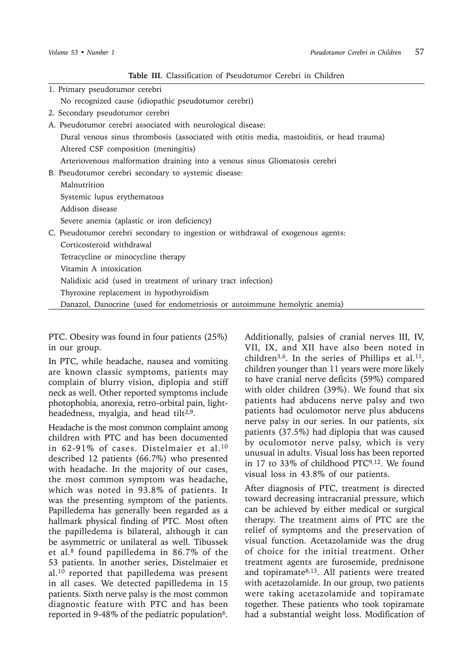**Table III.** Classification of Pseudotumor Cerebri in Children

| 1. Primary pseudotumor cerebri                                                            |
|-------------------------------------------------------------------------------------------|
| No recognized cause (idiopathic pseudotumor cerebri)                                      |
| 2. Secondary pseudotumor cerebri                                                          |
| A. Pseudotumor cerebri associated with neurological disease:                              |
| Dural venous sinus thrombosis (associated with otitis media, mastoiditis, or head trauma) |
| Altered CSF composition (meningitis)                                                      |
| Arteriovenous malformation draining into a venous sinus Gliomatosis cerebri               |
| B. Pseudotumor cerebri secondary to systemic disease:                                     |
| Malnutrition                                                                              |
| Systemic lupus erythematous                                                               |
| Addison disease                                                                           |
| Severe anemia (aplastic or iron deficiency)                                               |
| C. Pseudotumor cerebri secondary to ingestion or withdrawal of exogenous agents:          |
| Corticosteroid withdrawal                                                                 |
| Tetracycline or minocycline therapy                                                       |
| Vitamin A intoxication                                                                    |
| Nalidixic acid (used in treatment of urinary tract infection)                             |
| Thyroxine replacement in hypothyroidism                                                   |
| Danazol, Danocrine (used for endometriosis or autoimmune hemolytic anemia)                |
|                                                                                           |

PTC. Obesity was found in four patients (25%) in our group.

In PTC, while headache, nausea and vomiting are known classic symptoms, patients may complain of blurry vision, diplopia and stiff neck as well. Other reported symptoms include photophobia, anorexia, retro-orbital pain, lightheadedness, myalgia, and head tilt $2.9$ .

Headache is the most common complaint among children with PTC and has been documented in 62-91% of cases. Distelmaier et al.<sup>10</sup> described 12 patients (66.7%) who presented with headache. In the majority of our cases, the most common symptom was headache, which was noted in 93.8% of patients. It was the presenting symptom of the patients. Papilledema has generally been regarded as a hallmark physical finding of PTC. Most often the papilledema is bilateral, although it can be asymmetric or unilateral as well. Tibussek et al.8 found papilledema in 86.7% of the 53 patients. In another series, Distelmaier et al.10 reported that papilledema was present in all cases. We detected papilledema in 15 patients. Sixth nerve palsy is the most common diagnostic feature with PTC and has been reported in 9-48% of the pediatric population $6$ .

Additionally, palsies of cranial nerves III, IV, VII, IX, and XII have also been noted in children<sup>3,6</sup>. In the series of Phillips et al.<sup>11</sup>, children younger than 11 years were more likely to have cranial nerve deficits (59%) compared with older children (39%). We found that six patients had abducens nerve palsy and two patients had oculomotor nerve plus abducens nerve palsy in our series. In our patients, six patients (37.5%) had diplopia that was caused by oculomotor nerve palsy, which is very unusual in adults. Visual loss has been reported in 17 to 33% of childhood PTC9,12. We found visual loss in 43.8% of our patients.

After diagnosis of PTC, treatment is directed toward decreasing intracranial pressure, which can be achieved by either medical or surgical therapy. The treatment aims of PTC are the relief of symptoms and the preservation of visual function. Acetazolamide was the drug of choice for the initial treatment. Other treatment agents are furosemide, prednisone and topiramate8,13. All patients were treated with acetazolamide. In our group, two patients were taking acetazolamide and topiramate together. These patients who took topiramate had a substantial weight loss. Modification of